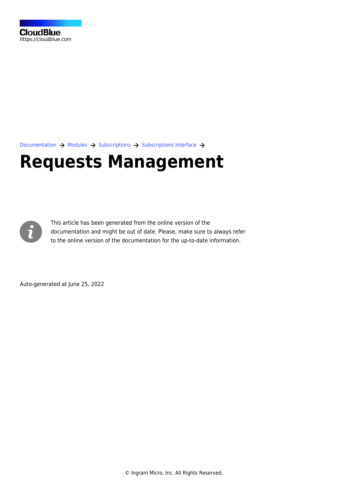[Documentation](https://connect.cloudblue.com/documentation)  $\rightarrow$  [Modules](https://connect.cloudblue.com/community/modules/)  $\rightarrow$  [Subscriptions](https://connect.cloudblue.com/community/modules/subscriptions/)  $\rightarrow$  [Subscriptions Interface](https://connect.cloudblue.com/community/modules/subscriptions/user-interface/)  $\rightarrow$ 

# **[Requests Management](https://connect.cloudblue.com/community/modules/subscriptions/user-interface/requests-management/)**



This article has been generated from the online version of the documentation and might be out of date. Please, make sure to always refer to the online version of the documentation for the up-to-date information.

Auto-generated at June 25, 2022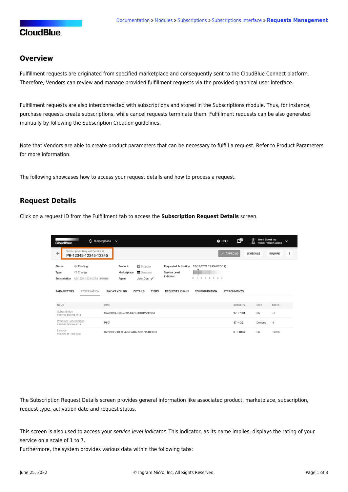### **Overview**

Fulfillment requests are originated from specified marketplace and consequently sent to the CloudBlue Connect platform. Therefore, Vendors can review and manage provided fulfillment requests via the provided graphical user interface.

Fulfillment requests are also interconnected with subscriptions and stored in the [Subscriptions](https://connect.cloudblue.com/community/modules/subscriptions/) module. Thus, for instance, purchase requests create subscriptions, while cancel requests terminate them. Fulfillment requests can be also generated manually by following the [Subscription Creation](https://connect.cloudblue.com/community/modules/subscriptions/subscription-creation/) guidelines.

Note that Vendors are able to create product parameters that can be necessary to fulfill a request. Refer to [Product Parameters](https://connect.cloudblue.com/community/modules/products/parameters/) for more information.

The following showcases how to access your request details and how to process a request.

### **Request Details**

Click on a request ID from the Fulfillment tab to access the **Subscription Request Details** screen.

| $\omega$ Subscriptions<br><b>CloudBlue</b>                                                              | @ HELP<br>$\checkmark$                                                                                                                                                                          | ئ€                  | <b>Front Street Inc</b><br>Vendor · Robert Balboa |                | $\checkmark$ |
|---------------------------------------------------------------------------------------------------------|-------------------------------------------------------------------------------------------------------------------------------------------------------------------------------------------------|---------------------|---------------------------------------------------|----------------|--------------|
| Subscription Request Details @<br>$\leftarrow$<br>PR-12345-12345-12345                                  |                                                                                                                                                                                                 | $\vee$ APPROVE      | <b>SCHEDULE</b>                                   | <b>INQUIRE</b> | $\vdots$     |
| <b>Status</b><br><b>Pending</b><br><b>⊆</b> Change<br>Type<br>Subscription<br>AS-1234-1234-1234 Preview | <b>E</b> Dropbox<br><b>Requested Activation</b><br>20/12/2021 12:45 (UTC-11)<br>Product<br>Germany<br>Marketplace<br>Service Level<br>Indicator<br>$\Omega$<br>2 3 4 5 6 7<br>John Doe<br>Agent |                     |                                                   |                |              |
| <b>PARAMETERS</b><br><b>RESERVATION</b>                                                                 | PAY AS YOU GO<br><b>DETAILS</b><br><b>TIERS</b><br><b>REQUESTS CHAIN</b><br><b>CONFIGURATION</b>                                                                                                | <b>ATTACHMENTS</b>  |                                                   |                |              |
| NAME                                                                                                    | <b>MPN</b>                                                                                                                                                                                      | QUANTITY            | <b>UNIT</b>                                       | DELTA          |              |
| Subscribition<br>PRD-152-490-264-1814                                                                   | 0aa83289-d58f-4b36-b9c1-b0401229093d                                                                                                                                                            | $97 \to 100$        | Gb                                                | $+3$           |              |
| Premium Subscribition<br>PRD-541-765-546-9114                                                           | <b>PS01</b>                                                                                                                                                                                     | $37 \rightarrow 32$ | Devices                                           | $-5$           |              |
| Licence<br>PRD-922-151-309-5435                                                                         | D22283F7-DE1F-4259-A487-552C984BE003                                                                                                                                                            | $0 \to 4096$        | Gb                                                | +4096          |              |

The Subscription Request Details screen provides general information like associated product, marketplace, subscription, request type, activation date and request status.

This screen is also used to access your service level indicator. This indicator, as its name implies, displays the rating of your service on a scale of 1 to 7.

Furthermore, the system provides various data within the following tabs: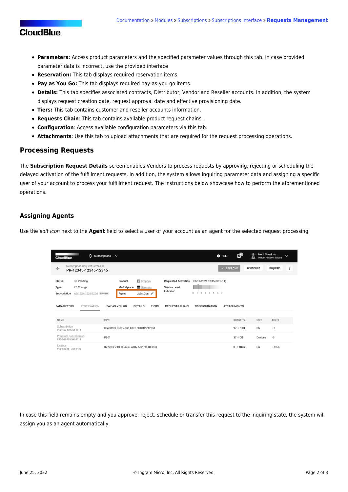### **CloudBlue**

- **Parameters:** Access product parameters and the specified parameter values through this tab. In case provided parameter data is incorrect, use the provided interface
- **Reservation:** This tab displays required [reservation items](https://connect.cloudblue.com/community/modules/products/items/).
- **Pay as You Go:** This tab displays required [pay-as-you-go items.](https://connect.cloudblue.com/community/modules/products/items/)
- **Details:** This tab specifies associated contracts, Distributor, Vendor and Reseller accounts. In addition, the system displays request creation date, request approval date and effective provisioning date.
- **Tiers:** This tab contains customer and reseller accounts information.
- **Requests Chain**: This tab contains available product request chains.
- **Configuration**: Access available configuration parameters via this tab.
- **Attachments**: Use this tab to upload attachments that are required for the request processing operations.

### **Processing Requests**

The **Subscription Request Details** screen enables Vendors to process requests by approving, rejecting or scheduling the delayed activation of the fulfillment requests. In addition, the system allows inquiring parameter data and assigning a specific user of your account to process your fulfillment request. The instructions below showcase how to perform the aforementioned operations.

### **Assigning Agents**

Use the edit icon next to the **Agent** field to select a user of your account as an agent for the selected request processing.

| $\omega$ Subscriptions<br><b>CloudBlue</b>                                                              | $\checkmark$                                                                                                                                                                                           | @ HELP               | <b>Front Street Inc</b><br>Vendor · Robert Balboa | $\check{ }$ |
|---------------------------------------------------------------------------------------------------------|--------------------------------------------------------------------------------------------------------------------------------------------------------------------------------------------------------|----------------------|---------------------------------------------------|-------------|
| Subscription Request Details @<br>$\leftarrow$<br>PR-12345-12345-12345                                  |                                                                                                                                                                                                        | $\checkmark$ APPROVE | <b>SCHEDULE</b><br><b>INQUIRE</b>                 | $\vdots$    |
| <b>Status</b><br><b>Pending</b><br><b>⊆</b> Change<br>Type<br>Subscription<br>AS-1234-1234-1234 Preview | <b>El</b> Dropbox<br><b>Requested Activation</b><br>20/12/2021 12:45 (UTC-11)<br>Product<br>Germany<br>Marketplace<br>Service Level<br>Indicator<br>2 3 4 5 6 7<br>0 <sub>1</sub><br>John Doe<br>Agent |                      |                                                   |             |
| <b>PARAMETERS</b><br><b>RESERVATION</b>                                                                 | PAY AS YOU GO<br><b>DETAILS</b><br><b>TIERS</b><br><b>REQUESTS CHAIN</b><br><b>CONFIGURATION</b>                                                                                                       | <b>ATTACHMENTS</b>   |                                                   |             |
| NAME                                                                                                    | <b>MPN</b>                                                                                                                                                                                             | QUANTITY             | <b>UNIT</b><br>DELTA                              |             |
| Subscribition<br>PRD-152-490-264-1814                                                                   | 0aa83289-d58f-4b36-b9c1-b0401229093d                                                                                                                                                                   | $97 \to 100$         | $+3$<br>Gb                                        |             |
| Premium Subscribition<br>PRD-541-765-546-9114                                                           | <b>PS01</b>                                                                                                                                                                                            | $37 \rightarrow 32$  | $-5$<br>Devices                                   |             |
| Licence<br>PRD-922-151-309-5435                                                                         | D22283F7-DE1F-4259-A487-552C984BE003                                                                                                                                                                   | $0 \to 4096$         | Gb<br>+4096                                       |             |

In case this field remains empty and you approve, reject, schedule or transfer this request to the inquiring state, the system will assign you as an agent automatically.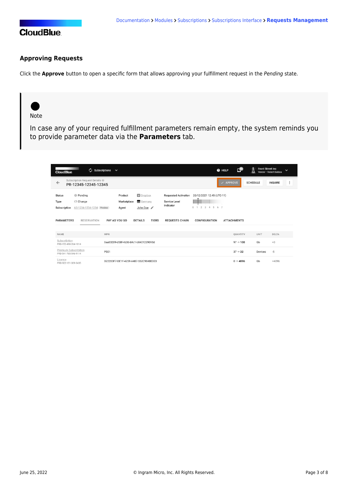

### **Approving Requests**

Click the **Approve** button to open a specific form that allows approving your fulfillment request in the Pending state.

## Note

In case any of your required fulfillment parameters remain empty, the system reminds you to provide parameter data via the **Parameters** tab.

| $\omega$ Subscriptions<br><b>CloudBlue</b>                                                              | $\checkmark$                                                                |                                                                                                                                    | C.<br>@ HELP        | <b>Front Street Inc.</b><br>Vendor · Robert Balboa | $\check{ }$ |
|---------------------------------------------------------------------------------------------------------|-----------------------------------------------------------------------------|------------------------------------------------------------------------------------------------------------------------------------|---------------------|----------------------------------------------------|-------------|
| Subscription Request Details @<br>$\leftarrow$<br>PR-12345-12345-12345                                  |                                                                             |                                                                                                                                    | <b>APPROVE</b>      | <b>SCHEDULE</b><br><b>INQUIRE</b>                  | $\vdots$    |
| <b>Status</b><br><b>Pending</b><br><b>⊆</b> Change<br>Type<br>Subscription<br>AS-1234-1234-1234 Preview | <b>El</b> Dropbox<br>Product<br>Germany<br>Marketplace<br>John Doe<br>Agent | <b>Requested Activation</b><br>20/12/2021 12:45 (UTC-11)<br>Service Level<br>Indicator<br>2 3 4 5 6 7<br>$\Omega$<br>$\rightarrow$ |                     |                                                    |             |
| <b>PARAMETERS</b><br><b>RESERVATION</b>                                                                 | PAY AS YOU GO<br><b>DETAILS</b><br><b>TIERS</b>                             | <b>REQUESTS CHAIN</b><br><b>CONFIGURATION</b>                                                                                      | <b>ATTACHMENTS</b>  |                                                    |             |
| <b>NAME</b>                                                                                             | <b>MPN</b>                                                                  |                                                                                                                                    | QUANTITY            | <b>UNIT</b><br><b>DELTA</b>                        |             |
| Subscribition<br>PRD-152-490-264-1814                                                                   | 0aa83289-d58f-4b36-b9c1-b0401229093d                                        |                                                                                                                                    | $97 \to 100$        | Gb<br>$+3$                                         |             |
| Premium Subscribition<br>PRD-541-765-546-9114                                                           | <b>PS01</b>                                                                 |                                                                                                                                    | $37 \rightarrow 32$ | $-5$<br>Devices                                    |             |
| Licence<br>PRD-922-151-309-5435                                                                         | D22283F7-DE1F-4259-A487-552C984BE003                                        |                                                                                                                                    | $0 \to 4096$        | Gb<br>+4096                                        |             |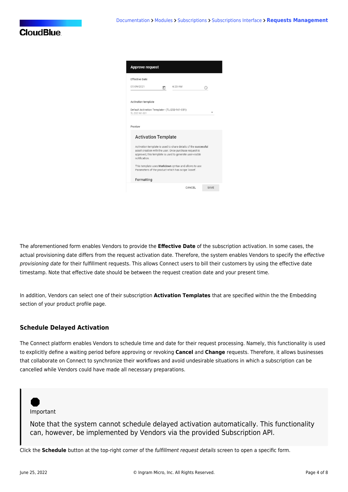| <b>Approve request</b>                                                                                                                                                                                |             |
|-------------------------------------------------------------------------------------------------------------------------------------------------------------------------------------------------------|-------------|
| <b>Effective Date</b>                                                                                                                                                                                 |             |
| 07/09/2021<br>6:23 AM<br>m                                                                                                                                                                            | ⊙           |
| Activation template                                                                                                                                                                                   |             |
| Default Activation Template - (TL-232-161-031)<br>TL-232-161-031                                                                                                                                      |             |
| Preview                                                                                                                                                                                               |             |
| <b>Activation Template</b>                                                                                                                                                                            |             |
| Activation template is used to share details of the successful<br>asset creation with the user. Once purchase request is<br>approved, this template is used to generate user-visible<br>notification. |             |
| This template uses Markdown syntax and allows to use<br>Parameters of the product which has scope 'Asset'.                                                                                            |             |
| Formatting                                                                                                                                                                                            |             |
| CANCEL                                                                                                                                                                                                | <b>SAVE</b> |

The aforementioned form enables Vendors to provide the **Effective Date** of the subscription activation. In some cases, the actual provisioning date differs from the request activation date. Therefore, the system enables Vendors to specify the effective provisioning date for their fulfillment requests. This allows Connect users to bill their customers by using the effective date timestamp. Note that effective date should be between the request creation date and your present time.

In addition, Vendors can select one of their subscription **Activation Templates** that are specified within the the [Embedding](https://connect.cloudblue.com/community/modules/products/embedding/) section of your product profile page.

#### **Schedule Delayed Activation**

The Connect platform enables Vendors to schedule time and date for their request processing. Namely, this functionality is used to explicitly define a waiting period before approving or revoking **Cancel** and **Change** requests. Therefore, it allows businesses that collaborate on Connect to synchronize their workflows and avoid undesirable situations in which a subscription can be cancelled while Vendors could have made all necessary preparations.



Note that the system cannot schedule delayed activation automatically. This functionality can, however, be implemented by Vendors via the provided [Subscription API.](https://connect.cloudblue.com/community/modules/subscriptions/subscription-api/)

Click the **Schedule** button at the top-right corner of the fulfillment request details screen to open a specific form.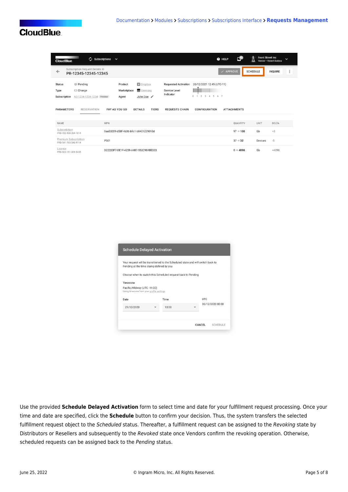## **CloudBlue**

| $\bigcirc$ Subscriptions<br><b>CloudBlue</b>                                                             | $\checkmark$                                                                | <b>O</b> HELP                                                                                                                      | Œ                    | <b>Front Street Inc</b><br>$\check{ }$<br>Vendor · Robert Balboa |
|----------------------------------------------------------------------------------------------------------|-----------------------------------------------------------------------------|------------------------------------------------------------------------------------------------------------------------------------|----------------------|------------------------------------------------------------------|
| Subscription Request Details @<br>$\leftarrow$<br>PR-12345-12345-12345                                   |                                                                             |                                                                                                                                    | $\checkmark$ APPROVE | $\vdots$<br><b>SCHEDULE</b><br><b>INQUIRE</b>                    |
| <b>Status</b><br><b>Pending</b><br><b>CE</b> Change<br>Type<br>Subscription<br>AS-1234-1234-1234 Preview | <b>El</b> Dropbox<br>Product<br>Germany<br>Marketplace<br>John Doe<br>Agent | 20/12/2021 12:45 (UTC-11)<br><b>Requested Activation</b><br>Service Level<br>Indicator<br>2 3 4 5 6 7<br>$\circ$<br>$\overline{1}$ |                      |                                                                  |
| <b>PARAMETERS</b><br><b>RESERVATION</b>                                                                  | PAY AS YOU GO<br><b>DETAILS</b><br><b>TIERS</b>                             | <b>REQUESTS CHAIN</b><br><b>CONFIGURATION</b>                                                                                      | <b>ATTACHMENTS</b>   |                                                                  |
| NAME                                                                                                     | <b>MPN</b>                                                                  |                                                                                                                                    | QUANTITY             | DELTA<br><b>UNIT</b>                                             |
| Subscribition<br>PRD-152-490-264-1814                                                                    | 0aa83289-d58f-4b36-b9c1-b0401229093d                                        |                                                                                                                                    | $97 \to 100$         | $+3$<br>Gb                                                       |
| Premium Subscribition<br>PRD-541-765-546-9114                                                            | <b>PS01</b>                                                                 |                                                                                                                                    | $37 \rightarrow 32$  | $-5$<br>Devices                                                  |
| Licence<br>PRD-922-151-309-5435                                                                          | D22283F7-DE1F-4259-A487-552C984BE003                                        |                                                                                                                                    | $0 \to 4096$         | Gb<br>+4096                                                      |

|                                                                         | Pending at the time stamp defined by you                     | Your request will be transitioned to the Scheduled state and will switch back to |                  |
|-------------------------------------------------------------------------|--------------------------------------------------------------|----------------------------------------------------------------------------------|------------------|
|                                                                         | Choose when to switch this Scheduled request back to Pending |                                                                                  |                  |
| Timezone                                                                |                                                              |                                                                                  |                  |
| Pacific/Midway (UTC-11:00)<br>Using timezone from your profile settings |                                                              |                                                                                  |                  |
| Date                                                                    | Time                                                         |                                                                                  | <b>UTC</b>       |
|                                                                         |                                                              |                                                                                  | 30/12/2020 00:00 |

Use the provided **Schedule Delayed Activation** form to select time and date for your fulfillment request processing. Once your time and date are specified, click the **Schedule** button to confirm your decision. Thus, the system transfers the selected fulfillment request object to the Scheduled status. Thereafter, a fulfillment request can be assigned to the Revoking state by Distributors or Resellers and subsequently to the Revoked state once Vendors confirm the revoking operation. Otherwise, scheduled requests can be assigned back to the Pending status.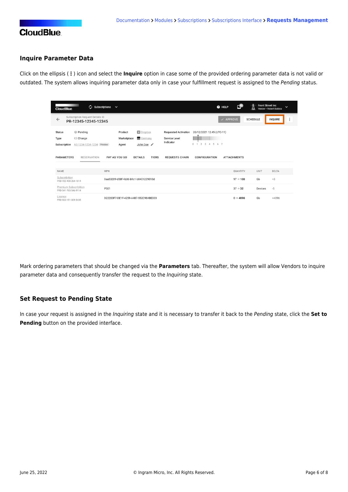

### **Inquire Parameter Data**

Click on the ellipsis (**⋮**) icon and select the **Inquire** option in case some of the provided ordering parameter data is not valid or outdated. The system allows inquiring parameter data only in case your fulfillment request is assigned to the Pending status.

| $\omega$ Subscriptions<br><b>CloudBlue</b>                                                              | $\checkmark$                                                                                                                            | ce<br>@ HELP                                               | <b>Front Street Inc.</b><br>$\check{ }$<br>Vendor · Robert Balboa |
|---------------------------------------------------------------------------------------------------------|-----------------------------------------------------------------------------------------------------------------------------------------|------------------------------------------------------------|-------------------------------------------------------------------|
| Subscription Request Details @<br>$\leftarrow$<br>PR-12345-12345-12345                                  |                                                                                                                                         | $\checkmark$ APPROVE                                       | $\vdots$<br><b>SCHEDULE</b><br><b>INQUIRE</b>                     |
| <b>Status</b><br><b>Pending</b><br><b>⊆</b> Change<br>Type<br>Subscription<br>AS-1234-1234-1234 Preview | <b>E</b> Dropbox<br><b>Requested Activation</b><br>Product<br>Germany<br>Service Level<br>Marketplace<br>Indicator<br>John Doe<br>Agent | 20/12/2021 12:45 (UTC-11)<br>2 3 4 5 6 7<br>0 <sub>1</sub> |                                                                   |
| <b>PARAMETERS</b><br><b>RESERVATION</b>                                                                 | <b>TIERS</b><br>PAY AS YOU GO<br><b>DETAILS</b><br><b>REQUESTS CHAIN</b>                                                                | <b>CONFIGURATION</b><br><b>ATTACHMENTS</b>                 |                                                                   |
| <b>NAME</b>                                                                                             | <b>MPN</b>                                                                                                                              | QUANTITY                                                   | DELTA<br><b>UNIT</b>                                              |
| Subscribition<br>PRD-152-490-264-1814                                                                   | 0aa83289-d58f-4b36-b9c1-b0401229093d                                                                                                    | $97 \to 100$                                               | Gb<br>$+3$                                                        |
| Premium Subscribition<br>PRD-541-765-546-9114                                                           | <b>PS01</b>                                                                                                                             | $37 \rightarrow 32$                                        | $-5$<br>Devices                                                   |
| Licence<br>PRD-922-151-309-5435                                                                         | D22283F7-DE1F-4259-A487-552C984BE003                                                                                                    | $0 \to 4096$                                               | Gb<br>+4096                                                       |

Mark ordering parameters that should be changed via the **Parameters** tab. Thereafter, the system will allow Vendors to inquire parameter data and consequently transfer the request to the Inquiring state.

### **Set Request to Pending State**

In case your request is assigned in the Inquiring state and it is necessary to transfer it back to the Pending state, click the **Set to Pending** button on the provided interface.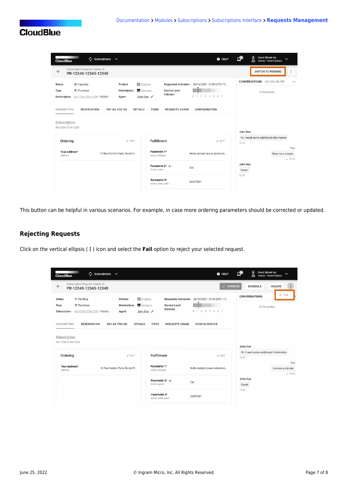

| ___<br>$\omega$ subscriptions $\sim$<br><b>CloudBlue</b>               |                                 |                                                   | @ HELP                      | <b>Front Street Inc</b><br>≅⊓<br>$\check{ }$<br>Vendor · Robert Balboa |
|------------------------------------------------------------------------|---------------------------------|---------------------------------------------------|-----------------------------|------------------------------------------------------------------------|
| Subscription Request Details @<br>$\leftarrow$<br>PR-12345-12345-12345 |                                 |                                                   |                             | $\vdots$<br><b>SWITCH TO PENDING</b>                                   |
| <b>Inquiring</b><br><b>Status</b>                                      | Product                         | <b>El</b> Dropbox<br><b>Requested Activation</b>  | 20/12/2021 12:45 (UTC-11)   | CONVERSATIONS CO-123-456-789<br>ゝく                                     |
| <b>言</b> Purchase<br>Type<br>Subscription<br>AS-1234-1234-1234 Preview | Marketplace<br>Agent            | Germany<br>Service Level<br>Indicator<br>John Doe | $0$ 1 2 3 4 5 6 7           | 12 November                                                            |
| PARAMETERS<br><b>RESERVATION</b><br>Subscription<br>AS-1234-2134-1235  | PAY AS YOU GO<br><b>DETAILS</b> | <b>TIERS</b><br><b>REQUESTS CHAIN</b>             | CONFIGURATION               | John Doe                                                               |
| Ordering                                                               | $\angle$ EDIT                   | <b>Fulfillment</b>                                | $\angle$ EDIT               | Hi. I need some additional information                                 |
|                                                                        |                                 |                                                   |                             | 12:12                                                                  |
| Your address*<br>address                                               | 12 Rue Cortot, Paris, Île-de-Fr | Parameter 1*<br>sociis_natoque                    | Nulla semper purus senectus | You<br>Give me a minute<br>$-12:15$                                    |
|                                                                        |                                 | Parameter 2* ov<br>donec_quam                     | Cat                         | John Doe<br>Great!<br>12:16                                            |

This button can be helpful in various scenarios. For example, in case more ordering parameters should be corrected or updated.

### **Rejecting Requests**

Click on the vertical ellipsis (**⋮**) icon and select the **Fail** option to reject your selected request.

| $\omega$ subscriptions $\sim$<br><b>CloudBlue</b>                                                         |                                                                             |                                       | @ HELP                                                            | <b>Front Street Inc</b><br>$\overline{\phantom{a}}$<br>Vendor · Robert Balboa |
|-----------------------------------------------------------------------------------------------------------|-----------------------------------------------------------------------------|---------------------------------------|-------------------------------------------------------------------|-------------------------------------------------------------------------------|
| Subscription Request Details @<br>$\leftarrow$<br>PR-12345-12345-12345                                    |                                                                             |                                       | $\vee$ APPROVE                                                    | <b>INQUIRE</b><br><b>SCHEDULE</b>                                             |
| <b>Pending</b><br><b>Status</b><br><b>言 Purchase</b><br>Type<br>Subscription<br>AS-1234-1234-1234 Preview | <b>El</b> Dropbox<br>Product<br>Germany<br>Marketplace<br>John Doe<br>Agent | Service Level<br>Indicator            | Requested Activation 20/12/2021 12:45 (UTC-11)<br>0 1 2 3 4 5 6 7 | $\times$ Fail<br><b>CONVERSATIONS</b><br>12 November                          |
| <b>RESERVATION</b><br>PARAMETERS<br>Subscription<br>AS-1234-2134-1235                                     | PAY AS YOU GO<br><b>DETAILS</b>                                             | <b>TIERS</b><br><b>REQUESTS CHAIN</b> | <b>CONFIGURATION</b>                                              | John Doe                                                                      |
| Ordering                                                                                                  | $\angle$ EDIT                                                               | Fulfillment                           | $\angle$ EDIT                                                     | Hi. I need some additional information<br>12:12<br>You                        |
| Your address*<br>address                                                                                  | 12 Rue Cortot, Paris, Île-de-Fr                                             | Parameter 1*<br>sociis_natoque        | Nulla semper purus senectus                                       | Give me a minute                                                              |
|                                                                                                           |                                                                             | Parameter 2* or<br>donec_quam         | Cat                                                               | $-12:15$<br>John Doe<br>Great!                                                |
|                                                                                                           |                                                                             | Parameter 3*<br>donec_pede_justo      | G2I5T0S1                                                          | 12:16                                                                         |